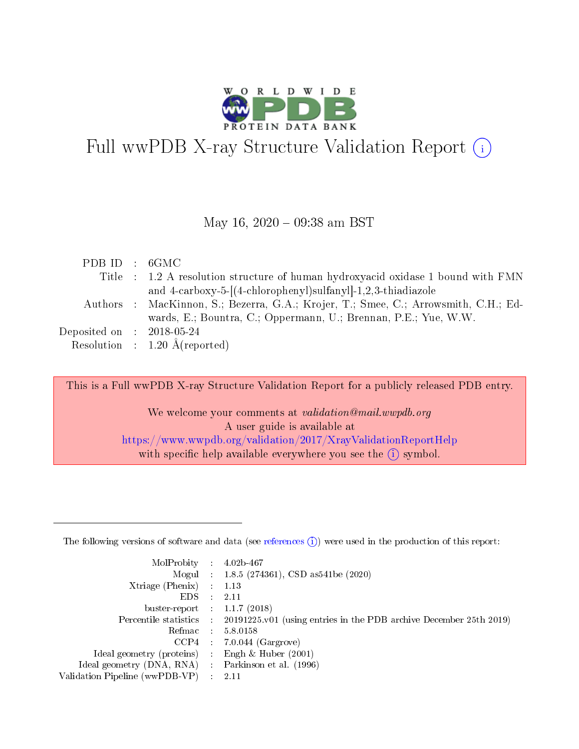

# Full wwPDB X-ray Structure Validation Report  $(i)$

#### May 16,  $2020 - 09:38$  am BST

| PDB ID : 6GMC               |                                                                                     |
|-----------------------------|-------------------------------------------------------------------------------------|
|                             | Title : 1.2 A resolution structure of human hydroxyacid oxidase 1 bound with FMN    |
|                             | and 4-carboxy-5-[(4-chlorophenyl)sulfanyl]-1,2,3-thiadiazole                        |
|                             | Authors : MacKinnon, S.; Bezerra, G.A.; Krojer, T.; Smee, C.; Arrowsmith, C.H.; Ed- |
|                             | wards, E.; Bountra, C.; Oppermann, U.; Brennan, P.E.; Yue, W.W.                     |
| Deposited on : $2018-05-24$ |                                                                                     |
|                             | Resolution : $1.20 \text{ Å}$ (reported)                                            |

This is a Full wwPDB X-ray Structure Validation Report for a publicly released PDB entry.

We welcome your comments at validation@mail.wwpdb.org A user guide is available at <https://www.wwpdb.org/validation/2017/XrayValidationReportHelp> with specific help available everywhere you see the  $(i)$  symbol.

The following versions of software and data (see [references](https://www.wwpdb.org/validation/2017/XrayValidationReportHelp#references)  $(1)$ ) were used in the production of this report:

| MolProbity                     | $\mathcal{L}_{\rm{max}}$ | $4.02b - 467$                                                                |
|--------------------------------|--------------------------|------------------------------------------------------------------------------|
|                                |                          | Mogul : $1.8.5$ (274361), CSD as 541be (2020)                                |
| $X$ triage (Phenix) :          |                          | 1.13                                                                         |
| EDS.                           |                          | 2.11                                                                         |
| buster-report : $1.1.7$ (2018) |                          |                                                                              |
| Percentile statistics :        |                          | $20191225 \text{ v}01$ (using entries in the PDB archive December 25th 2019) |
| Refmac                         |                          | 5.8.0158                                                                     |
| $CCP4$ :                       |                          | $7.0.044$ (Gargrove)                                                         |
| Ideal geometry (proteins) :    |                          | Engh $\&$ Huber (2001)                                                       |
| Ideal geometry (DNA, RNA) :    |                          | Parkinson et al. (1996)                                                      |
| Validation Pipeline (wwPDB-VP) | $\mathcal{L}$            | -2.11                                                                        |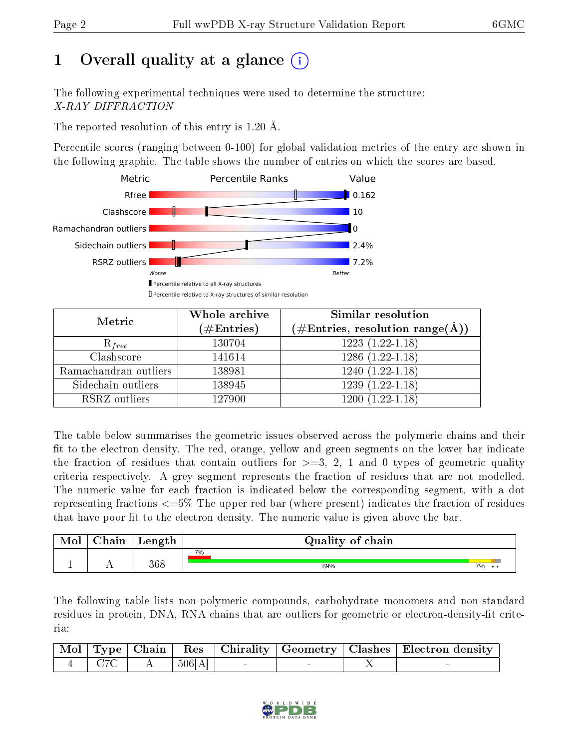# 1 [O](https://www.wwpdb.org/validation/2017/XrayValidationReportHelp#overall_quality)verall quality at a glance (i)

The following experimental techniques were used to determine the structure: X-RAY DIFFRACTION

The reported resolution of this entry is 1.20 Å.

Percentile scores (ranging between 0-100) for global validation metrics of the entry are shown in the following graphic. The table shows the number of entries on which the scores are based.



| Metric                | Whole archive<br>$(\#\text{Entries})$ | Similar resolution<br>$(\#\text{Entries}, \text{resolution range}(\text{\AA}))$ |
|-----------------------|---------------------------------------|---------------------------------------------------------------------------------|
| $R_{free}$            | 130704                                | $1223(1.22-1.18)$                                                               |
| Clashscore            | 141614                                | $1286(1.22-1.18)$                                                               |
| Ramachandran outliers | 138981                                | $1240(1.22-1.18)$                                                               |
| Sidechain outliers    | 138945                                | $1239(1.22-1.18)$                                                               |
| RSRZ outliers         | 127900                                | $1200(1.22-1.18)$                                                               |

The table below summarises the geometric issues observed across the polymeric chains and their fit to the electron density. The red, orange, yellow and green segments on the lower bar indicate the fraction of residues that contain outliers for  $>=3, 2, 1$  and 0 types of geometric quality criteria respectively. A grey segment represents the fraction of residues that are not modelled. The numeric value for each fraction is indicated below the corresponding segment, with a dot representing fractions  $\epsilon=5\%$  The upper red bar (where present) indicates the fraction of residues that have poor fit to the electron density. The numeric value is given above the bar.

| Mol | ${\bf Chain}$ | Length | Quality of chain |    |
|-----|---------------|--------|------------------|----|
|     |               |        | 7%               |    |
|     |               | 368    | 89%              | 7% |

The following table lists non-polymeric compounds, carbohydrate monomers and non-standard residues in protein, DNA, RNA chains that are outliers for geometric or electron-density-fit criteria:

|  |           |  | Mol   Type   Chain   Res   Chirality   Geometry   Clashes   Electron density |
|--|-----------|--|------------------------------------------------------------------------------|
|  | $+506[A]$ |  |                                                                              |

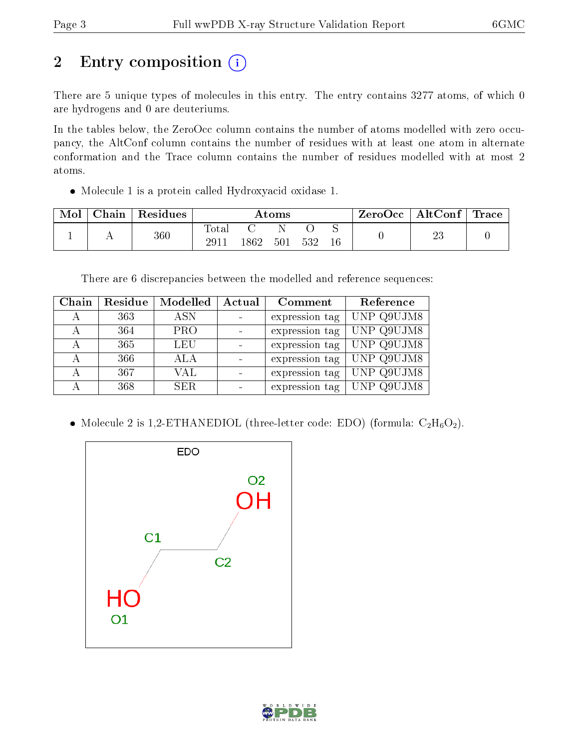# 2 Entry composition (i)

There are 5 unique types of molecules in this entry. The entry contains 3277 atoms, of which 0 are hydrogens and 0 are deuteriums.

In the tables below, the ZeroOcc column contains the number of atoms modelled with zero occupancy, the AltConf column contains the number of residues with at least one atom in alternate conformation and the Trace column contains the number of residues modelled with at most 2 atoms.

Molecule 1 is a protein called Hydroxyacid oxidase 1.

| Mol | Chain | Residues |                    |      | $\rm{Atoms}$ |     |             | ZeroOcc | $\mid$ AltConf $\mid$ | $\operatorname{Trace} \mid$ |
|-----|-------|----------|--------------------|------|--------------|-----|-------------|---------|-----------------------|-----------------------------|
|     |       | $360\,$  | $\rm Total$<br>291 | 1862 | 501          | 532 | ∼<br>$16\,$ |         | റല<br>∠ಪ              |                             |

There are 6 discrepancies between the modelled and reference sequences:

| Chain | Residue | Modelled   | Actual | Comment        | Reference  |
|-------|---------|------------|--------|----------------|------------|
| А     | 363     | <b>ASN</b> |        | expression tag | UNP Q9UJM8 |
| А     | 364     | <b>PRO</b> |        | expression tag | UNP Q9UJM8 |
|       | 365     | <b>LEU</b> |        | expression tag | UNP Q9UJM8 |
|       | 366     | ALA        |        | expression tag | UNP Q9UJM8 |
|       | 367     | <b>VAL</b> |        | expression tag | UNP Q9UJM8 |
|       | 368     | <b>SER</b> |        | expression tag | UNP Q9UJM8 |

• Molecule 2 is 1,2-ETHANEDIOL (three-letter code: EDO) (formula:  $C_2H_6O_2$ ).



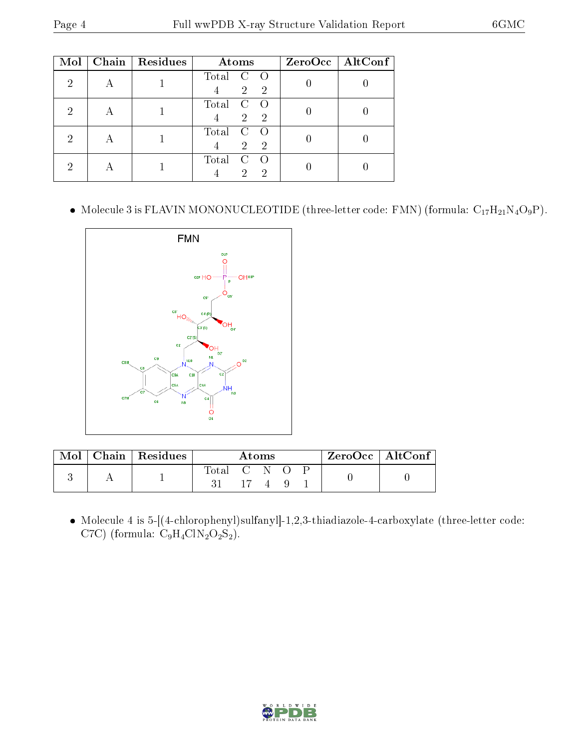| Mol | Chain     | Residues | Atoms                                                      | $ZeroOcc$   AltConf |
|-----|-----------|----------|------------------------------------------------------------|---------------------|
| 2   |           |          | Total<br>$\overline{2}$<br>$\overline{2}$                  |                     |
| 2   |           |          | Total<br>$\mathcal{C}$<br>$\overline{2}$<br>-2             |                     |
| 2   | $\forall$ |          | Total<br>$\mathcal{C}$<br>$\overline{2}$<br>$\overline{2}$ |                     |
|     |           |          | Total<br>C<br>2<br>2                                       |                     |

 $\bullet\,$  Molecule 3 is FLAVIN MONONUCLEOTIDE (three-letter code: FMN) (formula:  $\rm C_{17}H_{21}N_{4}O_9P$ ).



| $\operatorname{Mol}$ | $\mid$ Chain $\mid$ Residues | Atoms         |  |  | $ZeroOcc \mid AltConf$ |  |  |  |
|----------------------|------------------------------|---------------|--|--|------------------------|--|--|--|
|                      |                              | Total C N O P |  |  |                        |  |  |  |

 Molecule 4 is 5-[(4-chlorophenyl)sulfanyl]-1,2,3-thiadiazole-4-carboxylate (three-letter code: C7C) (formula:  $C_9H_4ClN_2O_2S_2$ ).

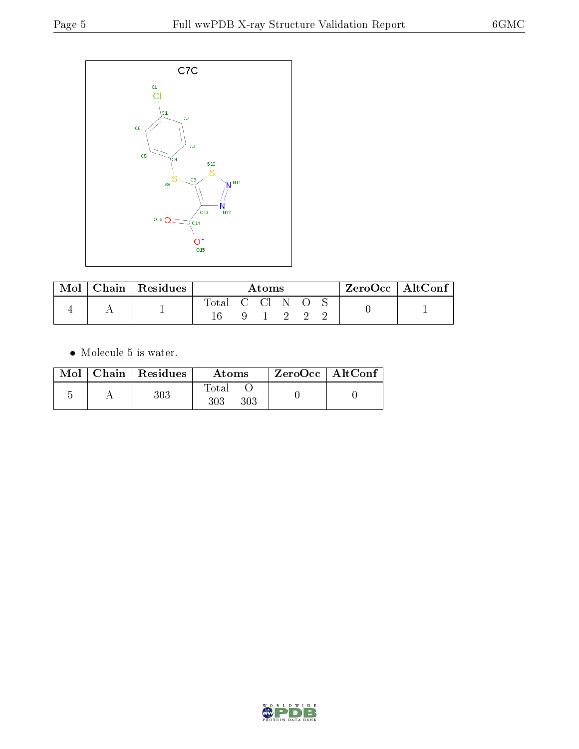

| $\operatorname{Mol}$ | Chain   Residues |                | Atoms |       |  | ZeroOcc   AltConf |  |
|----------------------|------------------|----------------|-------|-------|--|-------------------|--|
|                      |                  | Total C Cl N O |       | - 222 |  |                   |  |

 $\bullet\,$  Molecule 5 is water.

| Mol | Chain   Residues | Atoms               | ZeroOcc   AltConf |  |
|-----|------------------|---------------------|-------------------|--|
|     | 303              | Total<br>303<br>303 |                   |  |

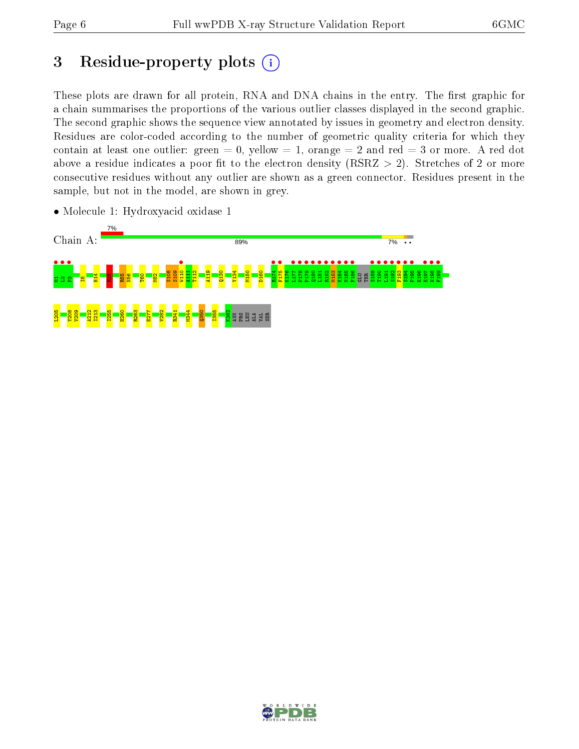# 3 Residue-property plots  $(i)$

These plots are drawn for all protein, RNA and DNA chains in the entry. The first graphic for a chain summarises the proportions of the various outlier classes displayed in the second graphic. The second graphic shows the sequence view annotated by issues in geometry and electron density. Residues are color-coded according to the number of geometric quality criteria for which they contain at least one outlier: green  $= 0$ , yellow  $= 1$ , orange  $= 2$  and red  $= 3$  or more. A red dot above a residue indicates a poor fit to the electron density (RSRZ  $> 2$ ). Stretches of 2 or more consecutive residues without any outlier are shown as a green connector. Residues present in the sample, but not in the model, are shown in grey.



• Molecule 1: Hydroxyacid oxidase 1

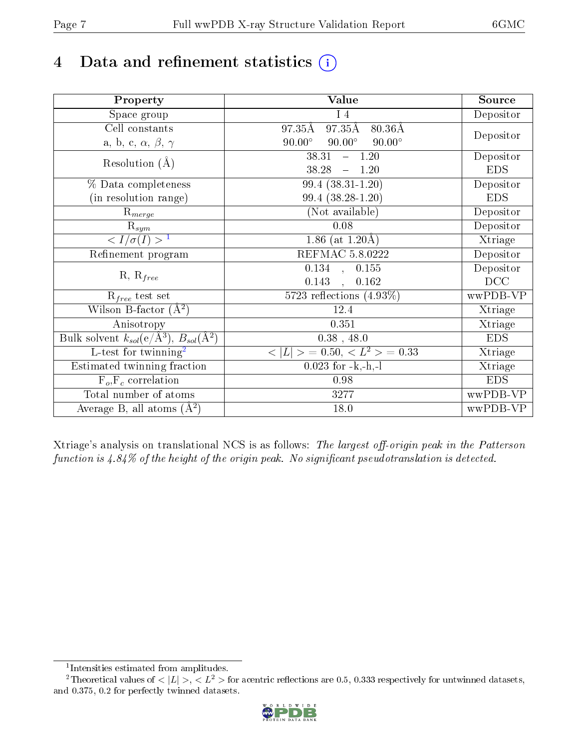# 4 Data and refinement statistics  $(i)$

| Property                                                             | Value                                           | Source     |
|----------------------------------------------------------------------|-------------------------------------------------|------------|
| Space group                                                          | $I_4$                                           | Depositor  |
| Cell constants                                                       | 97.35Å<br>97.35Å<br>$80.36\text{\AA}$           |            |
| a, b, c, $\alpha$ , $\beta$ , $\gamma$                               | $90.00^\circ$<br>$90.00^\circ$<br>$90.00^\circ$ | Depositor  |
| Resolution $(A)$                                                     | 38.31<br>$-1.20$                                | Depositor  |
|                                                                      | 38.28<br>1.20<br>$\equiv$                       | <b>EDS</b> |
| % Data completeness                                                  | 99.4 (38.31-1.20)                               | Depositor  |
| (in resolution range)                                                | $99.4(38.28-1.20)$                              | <b>EDS</b> |
| $\mathrm{R}_{merge}$                                                 | (Not available)                                 | Depositor  |
| $\mathrm{R}_{sym}$                                                   | 0.08                                            | Depositor  |
| $\sqrt{I/\sigma(I)} > 1$                                             | 1.86 (at $1.20\text{\AA}$ )                     | Xtriage    |
| Refinement program                                                   | <b>REFMAC 5.8.0222</b>                          | Depositor  |
|                                                                      | $\overline{0.134}$ ,<br>0.155                   | Depositor  |
| $R, R_{free}$                                                        | 0.143<br>0.162<br>$\mathbf{A}$                  | DCC        |
| $R_{free}$ test set                                                  | 5723 reflections $(4.93\%)$                     | wwPDB-VP   |
| Wilson B-factor $(A^2)$                                              | 12.4                                            | Xtriage    |
| Anisotropy                                                           | 0.351                                           | Xtriage    |
| Bulk solvent $k_{sol}(e/\mathring{A}^3)$ , $B_{sol}(\mathring{A}^2)$ | $0.38$ , 48.0                                   | <b>EDS</b> |
| $\overline{L-test for}$ twinning <sup>2</sup>                        | $< L >$ = 0.50, $< L2$ > = 0.33                 | Xtriage    |
| Estimated twinning fraction                                          | $0.023$ for -k,-h,-l                            | Xtriage    |
| $F_o, F_c$ correlation                                               | 0.98                                            | <b>EDS</b> |
| Total number of atoms                                                | 3277                                            | wwPDB-VP   |
| Average B, all atoms $(A^2)$                                         | 18.0                                            | wwPDB-VP   |

Xtriage's analysis on translational NCS is as follows: The largest off-origin peak in the Patterson function is  $4.84\%$  of the height of the origin peak. No significant pseudotranslation is detected.

<sup>&</sup>lt;sup>2</sup>Theoretical values of  $\langle |L| \rangle$ ,  $\langle L^2 \rangle$  for acentric reflections are 0.5, 0.333 respectively for untwinned datasets, and 0.375, 0.2 for perfectly twinned datasets.



<span id="page-6-1"></span><span id="page-6-0"></span><sup>1</sup> Intensities estimated from amplitudes.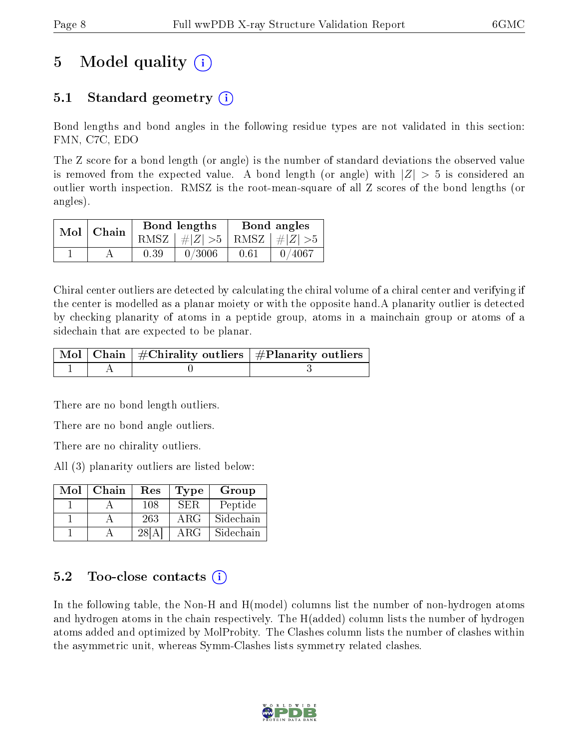# 5 Model quality  $(i)$

### 5.1 Standard geometry (i)

Bond lengths and bond angles in the following residue types are not validated in this section: FMN, C7C, EDO

The Z score for a bond length (or angle) is the number of standard deviations the observed value is removed from the expected value. A bond length (or angle) with  $|Z| > 5$  is considered an outlier worth inspection. RMSZ is the root-mean-square of all Z scores of the bond lengths (or angles).

| $Mol$   Chain |      | Bond lengths                    | Bond angles |        |  |
|---------------|------|---------------------------------|-------------|--------|--|
|               |      | RMSZ $ #Z  > 5$ RMSZ $ #Z  > 5$ |             |        |  |
|               | 0.39 | 0/3006                          | 0.61        | 0/4067 |  |

Chiral center outliers are detected by calculating the chiral volume of a chiral center and verifying if the center is modelled as a planar moiety or with the opposite hand.A planarity outlier is detected by checking planarity of atoms in a peptide group, atoms in a mainchain group or atoms of a sidechain that are expected to be planar.

|  | $\mid$ Mol $\mid$ Chain $\mid$ #Chirality outliers $\mid$ #Planarity outliers $\mid$ |
|--|--------------------------------------------------------------------------------------|
|  |                                                                                      |

There are no bond length outliers.

There are no bond angle outliers.

There are no chirality outliers.

All (3) planarity outliers are listed below:

| Mol | Chain | Res   | Type       | Group     |
|-----|-------|-------|------------|-----------|
|     |       | 108   | SER.       | Peptide   |
|     |       | 263   | $\rm{ARG}$ | Sidechain |
|     |       | 28[A] | $\rm{ARG}$ | Sidechain |

### $5.2$  Too-close contacts  $\overline{()}$

In the following table, the Non-H and H(model) columns list the number of non-hydrogen atoms and hydrogen atoms in the chain respectively. The H(added) column lists the number of hydrogen atoms added and optimized by MolProbity. The Clashes column lists the number of clashes within the asymmetric unit, whereas Symm-Clashes lists symmetry related clashes.

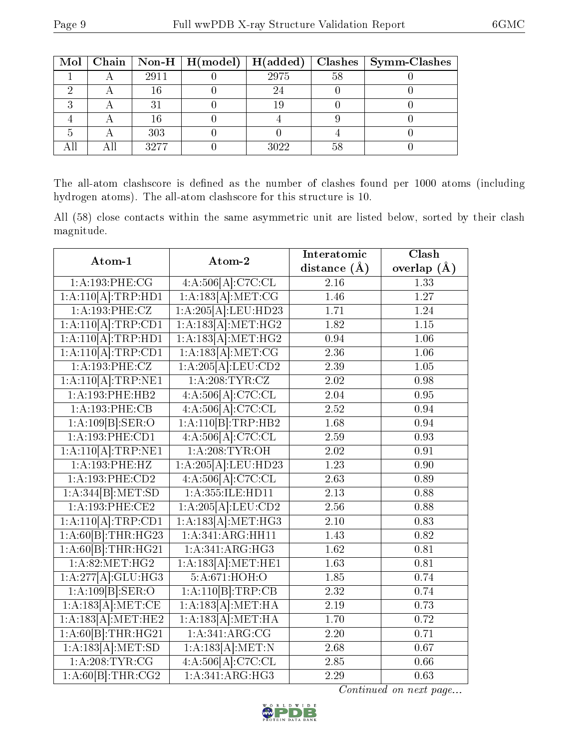|  |      |      |    | Mol   Chain   Non-H   H(model)   H(added)   Clashes   Symm-Clashes |
|--|------|------|----|--------------------------------------------------------------------|
|  | 2911 | 2975 | 58 |                                                                    |
|  |      |      |    |                                                                    |
|  |      |      |    |                                                                    |
|  |      |      |    |                                                                    |
|  | 303  |      |    |                                                                    |
|  | 3977 | 3022 | 58 |                                                                    |

The all-atom clashscore is defined as the number of clashes found per 1000 atoms (including hydrogen atoms). The all-atom clashscore for this structure is 10.

All (58) close contacts within the same asymmetric unit are listed below, sorted by their clash magnitude.

| Atom-1              | Atom-2                     | Interatomic       | Clash             |
|---------------------|----------------------------|-------------------|-------------------|
|                     |                            | distance $(A)$    | overlap $(\AA)$   |
| 1:A:193:PHE:CG      | 4:A:506[A]: <b>C7C:CLL</b> | $\overline{2.16}$ | 1.33              |
| 1:A:110[A]:TRP:HD1  | 1:A:183[A]:MET:CG          | 1.46              | 1.27              |
| 1:A:193:PHE:CZ      | 1:A:205[A]:LEU:HD23        | 1.71              | 1.24              |
| 1:A:110[A]:TRP:CD1  | 1:A:183[A]:MET:HG2         | 1.82              | 1.15              |
| 1:A:110[A]:TRP:HD1  | 1:A:183[A]:MET:HG2         | 0.94              | $\overline{1.06}$ |
| 1:A:110[A]:TRP:CD1  | 1:A:183[A]:MET:CG          | 2.36              | 1.06              |
| 1:A:193:PHE:CZ      | 1:A:205[A].LEU:CD2         | 2.39              | 1.05              |
| 1:A:110[A]:TRP:NE1  | 1:A:208:TYR:CZ             | 2.02              | 0.98              |
| 1:A:193:PHE:HB2     | 4:A:506[A]:C7C:CL          | 2.04              | 0.95              |
| 1:A:193:PHE:CB      | 4:A:506[A]: <b>C7C:CL</b>  | 2.52              | 0.94              |
| 1:A:109[B]:SER:O    | 1:A:110[B]:TRP:HB2         | 1.68              | 0.94              |
| 1:A:193:PHE:CD1     | 4:A:506[A]: <b>C7C:CL</b>  | 2.59              | 0.93              |
| 1:A:110[A]:TRP:NE1  | 1: A:208:TYR:OH            | 2.02              | 0.91              |
| 1:A:193:PHE:HZ      | 1:A:205[A]:LEU:HD23        | 1.23              | 0.90              |
| 1: A: 193: PHE: CD2 | 4:A:506[A]:C7C:CL          | 2.63              | 0.89              |
| 1:A:344[B]:MET:SD   | 1: A: 355: ILE: HD11       | 2.13              | 0.88              |
| 1: A: 193: PHE: CE2 | 1:A:205[A]:LEU:CD2         | 2.56              | 0.88              |
| 1:A:110[A]:TRP:CD1  | 1:A:183[A]:MET:HG3         | $2.10\,$          | 0.83              |
| 1:A:60[B]:THR:HG23  | 1:A:341:ARG:HH11           | 1.43              | 0.82              |
| 1:A:60[B]:THR:HG21  | 1: A:341: ARG:HG3          | 1.62              | 0.81              |
| 1: A:82: MET:HG2    | 1:A:183[A]:MET:HE1         | 1.63              | 0.81              |
| 1:A:277[A]:GLU:HG3  | 5:A:671:HOH:O              | 1.85              | 0.74              |
| 1:A:109[B]:SER:O    | 1:A:110[B]:TRP:CB          | 2.32              | 0.74              |
| 1:A:183[A]:MET:CE   | 1:A:183[A]:MET:HA          | 2.19              | 0.73              |
| 1:A:183[A]:MET:HE2  | 1:A:183[A]:MET:HA          | 1.70              | 0.72              |
| 1:A:60[B]:THR:HG21  | 1:A:341:ARG:CG             | 2.20              | 0.71              |
| 1:A:183[A]:MET:SD   | 1:A:183[A]:MET:N           | 2.68              | 0.67              |
| 1: A:208:TYR:CG     | 4:A:506[A]:C7C:CL          | 2.85              | 0.66              |
| 1:A:60[B]:THR:CG2   | 1:A:341:ARG:HG3            | 2.29              | 0.63              |

Continued on next page...

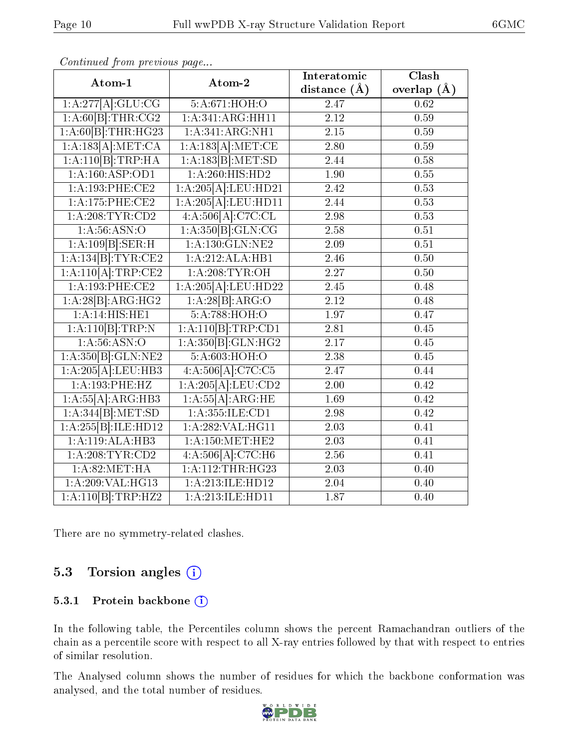| Atom-1                      | Atom-2              | Interatomic       | Clash           |
|-----------------------------|---------------------|-------------------|-----------------|
|                             |                     | distance $(A)$    | overlap $(\AA)$ |
| 1:A:277[A]:GLU:CG           | 5:A:671:HOH:O       | 2.47              | 0.62            |
| 1:A:60[B]:THR:CG2           | 1:A:341:ARG:HH11    | 2.12              | 0.59            |
| 1:A:60[B]:THR:HG23          | 1: A:341: ARG:NH1   | $2.15\,$          | 0.59            |
| 1:A:183[A]:MET:CA           | 1:A:183[A]:MET:CE   | 2.80              | 0.59            |
| 1:A:110[B]:TRP:HA           | 1:A:183[B]:MET:SD   | 2.44              | 0.58            |
| 1:A:160:ASP:OD1             | 1:A:260:HIS:HD2     | 1.90              | 0.55            |
| 1:A:193:PHE:CE2             | 1:A:205[A]:LEU:HD21 | 2.42              | 0.53            |
| 1:A:175:PHE:CE2             | 1:A:205[A]:LEU:HDI1 | 2.44              | 0.53            |
| 1: A:208:TYR:CD2            | 4:A:506[A]:C7C:CL   | 2.98              | 0.53            |
| 1: A:56: ASN:O              | 1:A:350[B]:GLN:CG   | 2.58              | 0.51            |
| 1:A:109[B]:SER:H            | 1: A: 130: GLN: NE2 | 2.09              | 0.51            |
| 1:A:134[B]:TYR:CE2          | 1:A:212:ALA:HB1     | 2.46              | 0.50            |
| 1:A:110[A]:TRP:CE2          | 1: A:208:TYR:OH     | 2.27              | 0.50            |
| 1:A:193:PHE:CE2             | 1:A:205[A]:LEU:HD22 | 2.45              | 0.48            |
| 1:A:28[B]:ARG:HG2           | 1:A:28[B]:ARG:O     | 2.12              | 0.48            |
| $1:A:\overline{14:HIS:HE1}$ | 5:A:788:HOH:O       | 1.97              | 0.47            |
| 1:A:110[B]:TRP:N            | 1:A:110[B]:TRP:CD1  | 2.81              | 0.45            |
| 1: A:56: ASN:O              | 1:A:350[B]:GLN:HG2  | 2.17              | 0.45            |
| 1:A:350[B]:GLN:NE2          | 5:A:603:HOH:O       | 2.38              | 0.45            |
| 1:A:205[A]:LEU:HB3          | 4:A:506[A]:C7C:C5   | 2.47              | 0.44            |
| 1:A:193:PHE:HZ              | 1:A:205[A].LEU:CD2  | $\overline{2}.00$ | 0.42            |
| 1:A:55[A]:ARG:HB3           | 1:A:55[A]:ARG:HE    | 1.69              | 0.42            |
| 1:A:344[B]:MET:SD           | 1: A: 355: ILE: CD1 | 2.98              | 0.42            |
| 1:A:255[B]:ILE:HD12         | 1:A:282:VAL:HG11    | 2.03              | 0.41            |
| 1:A:119:ALA:HB3             | 1: A:150:MET:HE2    | 2.03              | 0.41            |
| 1: A:208:TYR:CD2            | 4:A:506[A]:C7C:H6   | $\overline{2.56}$ | 0.41            |
| 1: A:82:MET:HA              | 1:A:112:THR:HG23    | 2.03              | 0.40            |
| 1:A:209:VAL:HG13            | 1:A:213:ILE:HD12    | 2.04              | 0.40            |
| 1:A:110[B]:TRP:HZ2          | 1:A:213:ILE:HD11    | 1.87              | 0.40            |

Continued from previous page...

There are no symmetry-related clashes.

### 5.3 Torsion angles (i)

#### 5.3.1 Protein backbone (i)

In the following table, the Percentiles column shows the percent Ramachandran outliers of the chain as a percentile score with respect to all X-ray entries followed by that with respect to entries of similar resolution.

The Analysed column shows the number of residues for which the backbone conformation was analysed, and the total number of residues.

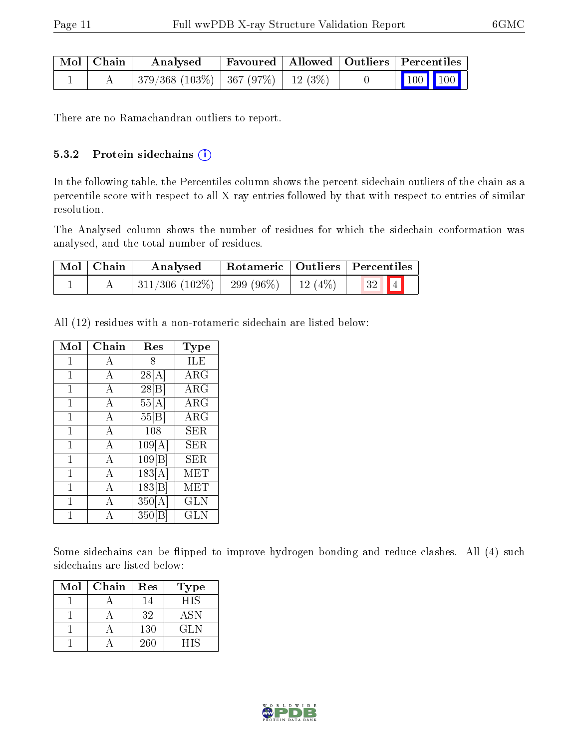| $\mid$ Mol $\mid$ Chain | Analysed                                   | Favoured   Allowed   Outliers   Percentiles |  |                                                            |  |
|-------------------------|--------------------------------------------|---------------------------------------------|--|------------------------------------------------------------|--|
|                         | $-379/368$ (103\%)   367 (97\%)   12 (3\%) |                                             |  | $\begin{array}{ c c c c }\n\hline\n100 & 100\n\end{array}$ |  |

There are no Ramachandran outliers to report.

#### 5.3.2 Protein sidechains (i)

In the following table, the Percentiles column shows the percent sidechain outliers of the chain as a percentile score with respect to all X-ray entries followed by that with respect to entries of similar resolution.

The Analysed column shows the number of residues for which the sidechain conformation was analysed, and the total number of residues.

| Mol   Chain | Analysed                                |  | Rotameric   Outliers   Percentiles |  |
|-------------|-----------------------------------------|--|------------------------------------|--|
|             | 311/306 (102\%)   299 (96\%)   12 (4\%) |  | $32$ $4$                           |  |

All (12) residues with a non-rotameric sidechain are listed below:

| Mol          | Chain          | Res    | Type                |
|--------------|----------------|--------|---------------------|
| 1            | A              | 8      | ILE                 |
| 1            | А              | 28[A]  | $\rm{ARG}$          |
| 1            | $\mathbf{A}$   | 28 B   | $\rm\overline{A}RG$ |
| $\mathbf{1}$ | A              | 55[A]  | $\rm{ARG}$          |
| 1            | $\mathbf{A}$   | 55 B   | <b>ARG</b>          |
| 1            | A              | 108    | SER                 |
| 1            | $\overline{A}$ | 109[A] | SER                 |
| 1            | А              | 109 B  | SER                 |
| 1            | $\overline{A}$ | 183[A] | <b>MET</b>          |
| 1            | $\overline{A}$ | 183 B  | MET                 |
| 1            | A              | 350[A] | <b>GLN</b>          |
| 1            | А              | 350 B  | GLN                 |

Some sidechains can be flipped to improve hydrogen bonding and reduce clashes. All (4) such sidechains are listed below:

| Mol | Chain | Res | <b>Type</b> |
|-----|-------|-----|-------------|
|     |       | 14  | <b>HIS</b>  |
|     |       | 32  | <b>ASN</b>  |
|     |       | 130 | GLN         |
|     |       | 260 | HIS         |

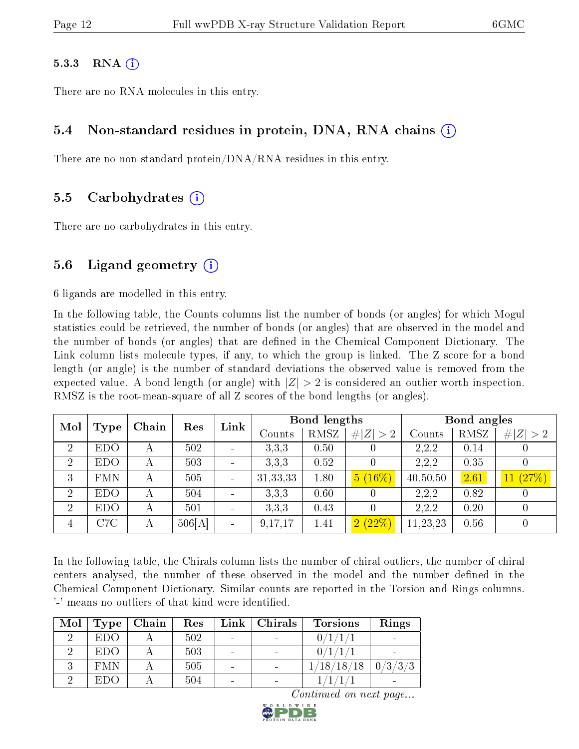#### $5.3.3$  RNA  $(i)$

There are no RNA molecules in this entry.

### 5.4 Non-standard residues in protein, DNA, RNA chains (i)

There are no non-standard protein/DNA/RNA residues in this entry.

#### 5.5 Carbohydrates (i)

There are no carbohydrates in this entry.

### 5.6 Ligand geometry  $(i)$

6 ligands are modelled in this entry.

In the following table, the Counts columns list the number of bonds (or angles) for which Mogul statistics could be retrieved, the number of bonds (or angles) that are observed in the model and the number of bonds (or angles) that are defined in the Chemical Component Dictionary. The Link column lists molecule types, if any, to which the group is linked. The Z score for a bond length (or angle) is the number of standard deviations the observed value is removed from the expected value. A bond length (or angle) with  $|Z| > 2$  is considered an outlier worth inspection. RMSZ is the root-mean-square of all Z scores of the bond lengths (or angles).

| Mol            | Chain<br>Res<br>Type |   | Link   | Bond lengths |            |      | Bond angles |          |      |             |
|----------------|----------------------|---|--------|--------------|------------|------|-------------|----------|------|-------------|
|                |                      |   |        |              | Counts     | RMSZ | # $ Z  > 2$ | Counts   | RMSZ | # $ Z  > 2$ |
| $\overline{2}$ | <b>EDO</b>           | А | 502    |              | 3,3,3      | 0.50 |             | 2,2,2    | 0.14 |             |
| $\overline{2}$ | <b>EDO</b>           | А | 503    |              | 3,3,3      | 0.52 |             | 2,2,2    | 0.35 |             |
| 3              | <b>FMN</b>           | А | 505    |              | 31, 33, 33 | 1.80 | $5(16\%)$   | 40,50,50 | 2.61 | 11(27%)     |
| $\overline{2}$ | <b>EDO</b>           |   | 504    |              | 3,3,3      | 0.60 |             | 2,2,2    | 0.82 |             |
| $\overline{2}$ | <b>EDO</b>           | А | 501    |              | 3,3,3      | 0.43 |             | 2,2,2    | 0.20 | O           |
| 4              | C7C                  | А | 506[A] |              | 9,17,17    | 1.41 | 2(22%)      | 11,23,23 | 0.56 |             |

In the following table, the Chirals column lists the number of chiral outliers, the number of chiral centers analysed, the number of these observed in the model and the number defined in the Chemical Component Dictionary. Similar counts are reported in the Torsion and Rings columns. '-' means no outliers of that kind were identified.

| Mol | Type       | Chain | Res | Link                     | Chirals | <b>Torsions</b>                     | Rings   |
|-----|------------|-------|-----|--------------------------|---------|-------------------------------------|---------|
|     | <b>EDO</b> |       | 502 | $\overline{\phantom{a}}$ |         |                                     |         |
|     | <b>EDO</b> |       | 503 |                          |         |                                     |         |
|     | <b>FMN</b> |       | 505 |                          |         | $^{\prime}18/18$ /<br>$^{\prime}18$ | 0/3/3/3 |
|     | <b>EDO</b> |       | 504 | $\overline{\phantom{a}}$ |         |                                     |         |

Continued on next page...

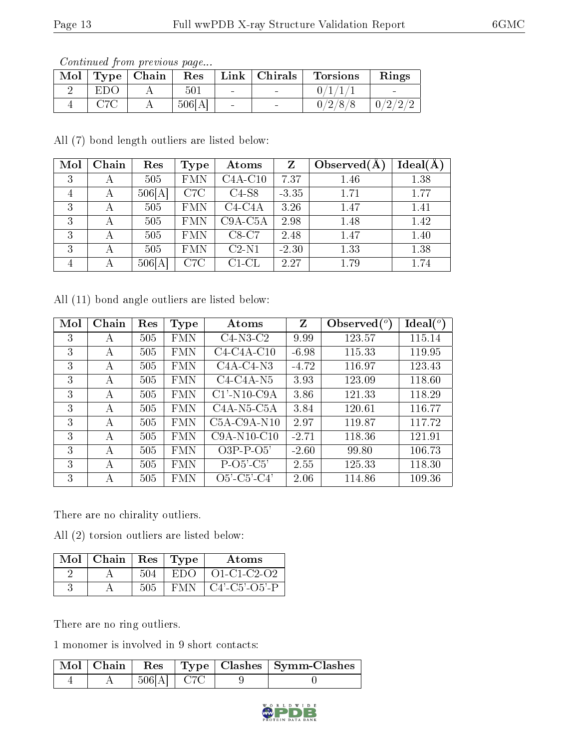Continued from previous page...

| Mol |              | $\perp$ Type $\parallel$ Chain | Res    |        | Link   Christmas         | <b>Torsions</b> | Rings                             |
|-----|--------------|--------------------------------|--------|--------|--------------------------|-----------------|-----------------------------------|
|     | EDO          |                                | 501    | $\sim$ | <b>Contract Contract</b> |                 | <b>Contract Contract Contract</b> |
|     | $_{\rm C7C}$ |                                | 506[A] |        | $\sim$                   | 0/2/8/8         | 0/2/2/2                           |

All (7) bond length outliers are listed below:

| Mol | Chain | Res    | Type       | Atoms     | Z       | Observed $(A)$ | Ideal(A) |
|-----|-------|--------|------------|-----------|---------|----------------|----------|
| 3   | А     | 505    | <b>FMN</b> | $C4A-C10$ | 7.37    | 1.46           | 1.38     |
| 4   | А     | 506[A] | C7C        | $C4-S8$   | $-3.35$ | 1.71           | 1.77     |
| 3   | А     | 505    | <b>FMN</b> | $C4-C4A$  | 3.26    | 1.47           | 1.41     |
| 3   | А     | 505    | <b>FMN</b> | $C9A-C5A$ | 2.98    | 1.48           | 1.42     |
| 3   | А     | 505    | <b>FMN</b> | $C8-C7$   | 2.48    | 1.47           | 1.40     |
| 3   | А     | 505    | <b>FMN</b> | $C2-N1$   | $-2.30$ | 1.33           | 1.38     |
| 4   | А     | 506[A] | C7C        | $C1-CL$   | 2.27    | 1.79           | 1.74     |

All (11) bond angle outliers are listed below:

| Mol | Chain | Res | Type       | Atoms          | Z       | Observed $(°)$ | $\text{Ideal}({}^o)$ |
|-----|-------|-----|------------|----------------|---------|----------------|----------------------|
| 3   | А     | 505 | <b>FMN</b> | $C4-N3-C2$     | 9.99    | 123.57         | 115.14               |
| 3   | А     | 505 | <b>FMN</b> | $C4-C4A-C10$   | $-6.98$ | 115.33         | 119.95               |
| 3   | А     | 505 | <b>FMN</b> | $C4A-C4-N3$    | $-4.72$ | 116.97         | 123.43               |
| 3   | А     | 505 | <b>FMN</b> | $C4-C4A-N5$    | 3.93    | 123.09         | 118.60               |
| 3   | А     | 505 | <b>FMN</b> | $C1'$ -N10-C9A | 3.86    | 121.33         | 118.29               |
| 3   | А     | 505 | <b>FMN</b> | $C4A-N5-C5A$   | 3.84    | 120.61         | 116.77               |
| 3   | A     | 505 | <b>FMN</b> | $C5A-C9A-N10$  | 2.97    | 119.87         | 117.72               |
| 3   | А     | 505 | FMN        | $C9A-N10-C10$  | $-2.71$ | 118.36         | 121.91               |
| 3   | А     | 505 | FMN        | $O3P-P-O5'$    | $-2.60$ | 99.80          | 106.73               |
| 3   | А     | 505 | FMN        | $P-O5'-C5'$    | 2.55    | 125.33         | 118.30               |
| 3   | А     | 505 | FMN        | $O5'$ -C5'-C4' | 2.06    | 114.86         | 109.36               |

There are no chirality outliers.

All (2) torsion outliers are listed below:

| $Mol$   Chain   Res   Type |     |      | Atoms               |
|----------------------------|-----|------|---------------------|
|                            | 504 | EDO  | $O1-C1-C2-O2$       |
|                            | 505 | F'MI | $C4'$ $C5'$ $O5'$ P |

There are no ring outliers.

1 monomer is involved in 9 short contacts:

|  |                 |  | Mol   Chain   Res   Type   Clashes   Symm-Clashes |
|--|-----------------|--|---------------------------------------------------|
|  | $+506[A] + C7C$ |  |                                                   |

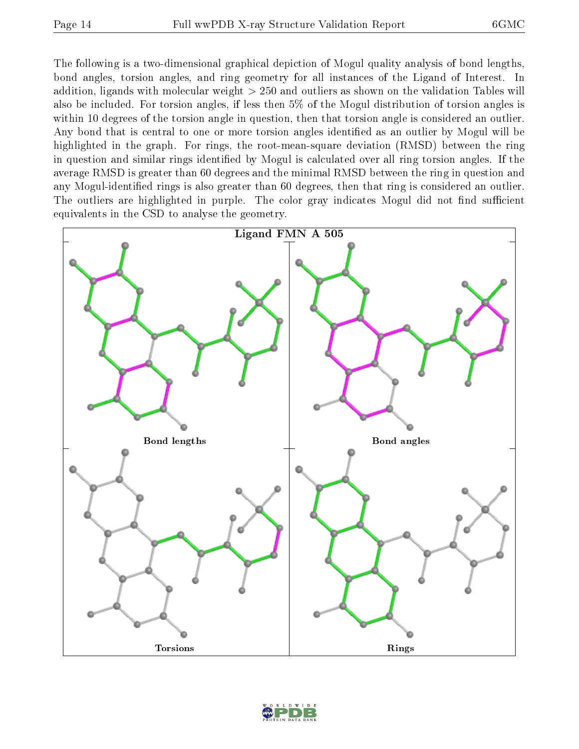The following is a two-dimensional graphical depiction of Mogul quality analysis of bond lengths, bond angles, torsion angles, and ring geometry for all instances of the Ligand of Interest. In addition, ligands with molecular weight > 250 and outliers as shown on the validation Tables will also be included. For torsion angles, if less then 5% of the Mogul distribution of torsion angles is within 10 degrees of the torsion angle in question, then that torsion angle is considered an outlier. Any bond that is central to one or more torsion angles identified as an outlier by Mogul will be highlighted in the graph. For rings, the root-mean-square deviation (RMSD) between the ring in question and similar rings identified by Mogul is calculated over all ring torsion angles. If the average RMSD is greater than 60 degrees and the minimal RMSD between the ring in question and any Mogul-identified rings is also greater than 60 degrees, then that ring is considered an outlier. The outliers are highlighted in purple. The color gray indicates Mogul did not find sufficient equivalents in the CSD to analyse the geometry.



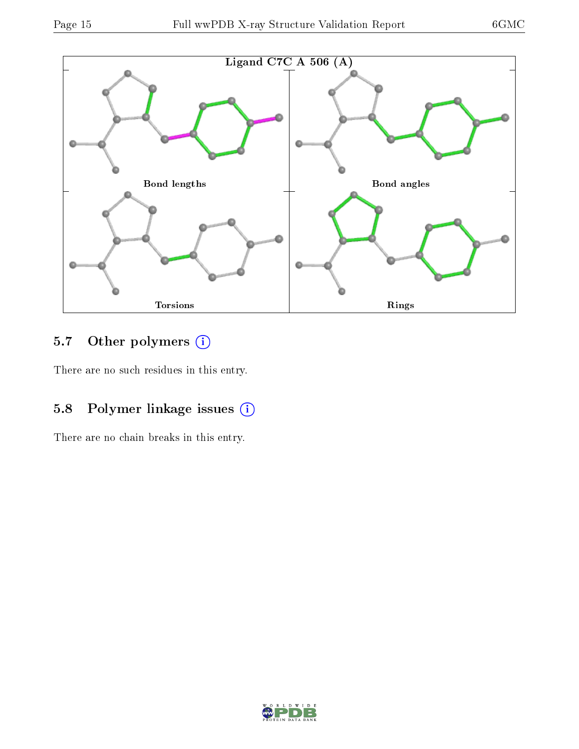

## 5.7 [O](https://www.wwpdb.org/validation/2017/XrayValidationReportHelp#nonstandard_residues_and_ligands)ther polymers (i)

There are no such residues in this entry.

## 5.8 Polymer linkage issues (i)

There are no chain breaks in this entry.

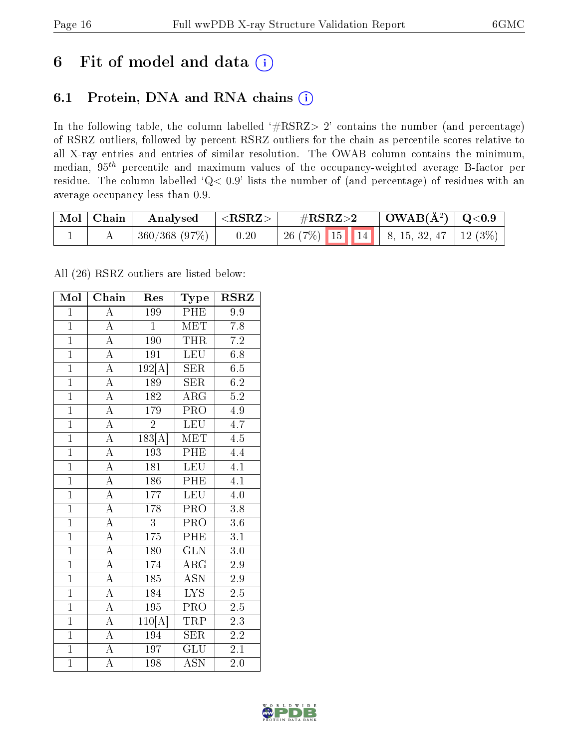## 6 Fit of model and data  $(i)$

### 6.1 Protein, DNA and RNA chains  $(i)$

In the following table, the column labelled  $#RSRZ> 2'$  contains the number (and percentage) of RSRZ outliers, followed by percent RSRZ outliers for the chain as percentile scores relative to all X-ray entries and entries of similar resolution. The OWAB column contains the minimum, median,  $95<sup>th</sup>$  percentile and maximum values of the occupancy-weighted average B-factor per residue. The column labelled ' $Q< 0.9$ ' lists the number of (and percentage) of residues with an average occupancy less than 0.9.

| Mol   Chain | Analysed      | $^+$ <rsrz> <math>^-</math></rsrz> | $\#\text{RSRZ}\text{>2}$                    | $\mid$ OWAB( $\rm \AA^2) \mid$ Q<0.9 |  |
|-------------|---------------|------------------------------------|---------------------------------------------|--------------------------------------|--|
|             | 360/368 (97%) | 0.20                               | 26 (7%)   15   14   8, 15, 32, 47   12 (3%) |                                      |  |

All (26) RSRZ outliers are listed below:

| Mol            | Chain              | Res                        | Type                      | <b>RSRZ</b>      |
|----------------|--------------------|----------------------------|---------------------------|------------------|
| $\mathbf 1$    | $\overline{\rm A}$ | 199                        | PHE                       | 9.9              |
| $\mathbf{1}$   | $\overline{A}$     | $\overline{1}$             | <b>MET</b>                | 7.8              |
| $\overline{1}$ | $\overline{A}$     | 190                        | <b>THR</b>                | $\overline{7.2}$ |
| $\mathbf{1}$   | $\overline{\rm A}$ | 191                        | $L\overline{EU}$          | $6.8\,$          |
| $\overline{1}$ | $\overline{\rm A}$ | 192[A]                     | $\overline{\text{SER}}$   | 6.5              |
| $\mathbf{1}$   | $\overline{A}$     | 189                        | <b>SER</b>                | 6.2              |
| $\overline{1}$ | $\overline{\rm A}$ | 182                        | $\overline{\rm{ARG}}$     | $5.\overline{2}$ |
| $\overline{1}$ | $\overline{A}$     | 179                        | $\overline{\text{PRO}}$   | 4.9              |
| $\overline{1}$ | $\overline{A}$     | $\overline{2}$             | <b>LEU</b>                | 4.7              |
| $\overline{1}$ | $\overline{A}$     | $\overline{183}[\text{A}]$ | $\overline{\text{MET}}$   | $\overline{4.5}$ |
| $\overline{1}$ | $\overline{\rm A}$ | 193                        | PHE                       | 4.4              |
| $\overline{1}$ | $\overline{A}$     | $\overline{181}$           | $\overline{\text{LEU}}$   | $\overline{4.1}$ |
| $\overline{1}$ | $\overline{A}$     | 186                        | PHE                       | 4.1              |
| $\overline{1}$ | $\overline{A}$     | 177                        | <b>LEU</b>                | 4.0              |
| $\overline{1}$ | $\overline{A}$     | 178                        | $\overline{\text{PRO}}$   | 3.8              |
| $\overline{1}$ | $\overline{A}$     | 3                          | $\overline{\text{PRO}}$   | $3.6\,$          |
| $\overline{1}$ | $\overline{\rm A}$ | 175                        | PHE                       | 3.1              |
| $\overline{1}$ | $\overline{A}$     | 180                        | <b>GLN</b>                | $3.0\,$          |
| $\overline{1}$ | $\overline{\rm A}$ | 174                        | $\rm{ARG}$                | 2.9              |
| $\overline{1}$ | $\overline{\rm A}$ | 185                        | <b>ASN</b>                | $2.9\,$          |
| $\overline{1}$ | $\overline{\rm A}$ | 184                        | <b>LYS</b>                | $2.5\,$          |
| $\overline{1}$ | $\overline{\rm A}$ | $\overline{195}$           | $\overline{\text{PRO}}$   | $\overline{2.5}$ |
| $\overline{1}$ | $\overline{\rm A}$ | 110[A]                     | TRP                       | $2.\overline{3}$ |
| $\overline{1}$ | $\overline{\rm A}$ | 194                        | <b>SER</b>                | $2.2\,$          |
| $\overline{1}$ | $\overline{A}$     | 197                        | GLU                       | $\overline{2.1}$ |
| $\overline{1}$ | $\overline{\rm A}$ | 198                        | $\overline{\mathrm{ASN}}$ | 2.0              |

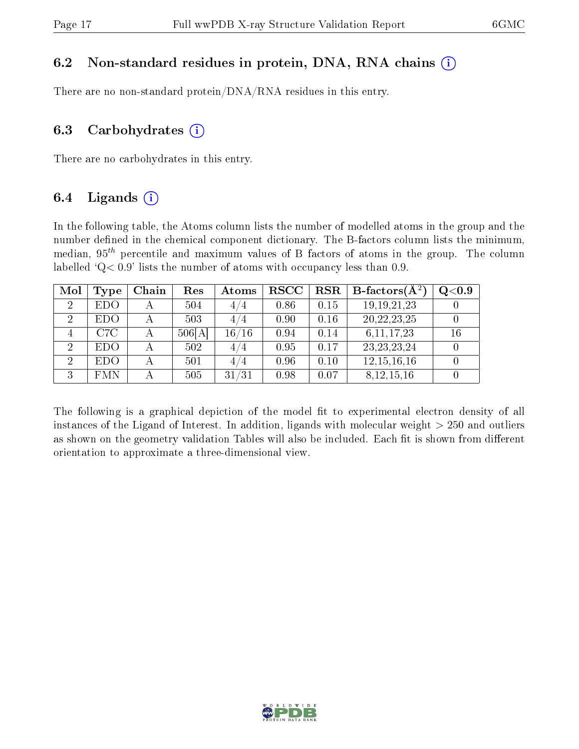#### 6.2 Non-standard residues in protein, DNA, RNA chains  $(i)$

There are no non-standard protein/DNA/RNA residues in this entry.

#### 6.3 Carbohydrates  $(i)$

There are no carbohydrates in this entry.

### 6.4 Ligands  $(i)$

In the following table, the Atoms column lists the number of modelled atoms in the group and the number defined in the chemical component dictionary. The B-factors column lists the minimum, median,  $95<sup>th</sup>$  percentile and maximum values of B factors of atoms in the group. The column labelled  $Q < 0.9$ ' lists the number of atoms with occupancy less than 0.9.

| Mol            | <b>Type</b> | Chain | Res    | Atoms | <b>RSCC</b> | <b>RSR</b> | B-factors $(\overline{A^2})$ | Q <sub>0.9</sub> |
|----------------|-------------|-------|--------|-------|-------------|------------|------------------------------|------------------|
| $\overline{2}$ | <b>EDO</b>  |       | 504    | 4/4   | 0.86        | 0.15       | 19, 19, 21, 23               |                  |
| 2              | <b>EDO</b>  |       | 503    | 4/4   | 0.90        | 0.16       | 20, 22, 23, 25               |                  |
|                | C7C         |       | 506[A] | 16/16 | 0.94        | 0.14       | 6, 11, 17, 23                | 16               |
| $\overline{2}$ | <b>EDO</b>  |       | 502    | 4/4   | 0.95        | 0.17       | 23, 23, 23, 24               |                  |
| 2              | <b>EDO</b>  |       | 501    | 4/4   | 0.96        | 0.10       | 12, 15, 16, 16               |                  |
| ച              | <b>FMN</b>  |       | 505    | 31/31 | 0.98        | 0.07       | 8,12,15,16                   |                  |

The following is a graphical depiction of the model fit to experimental electron density of all instances of the Ligand of Interest. In addition, ligands with molecular weight  $> 250$  and outliers as shown on the geometry validation Tables will also be included. Each fit is shown from different orientation to approximate a three-dimensional view.

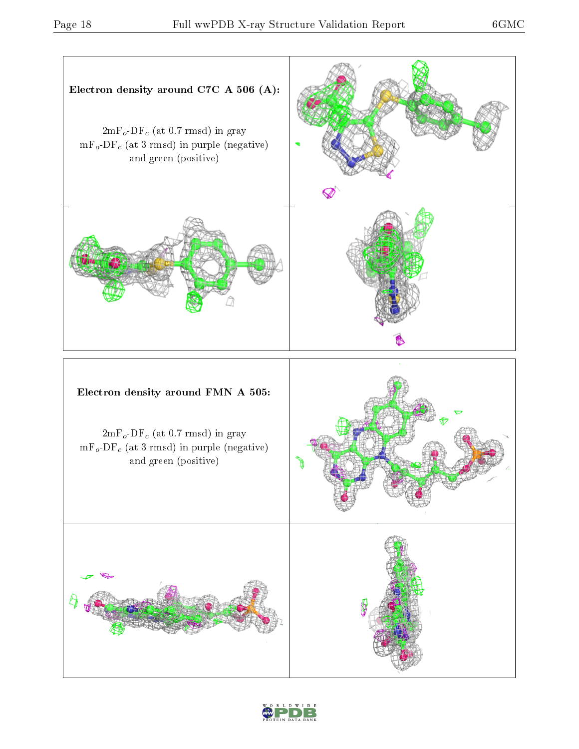